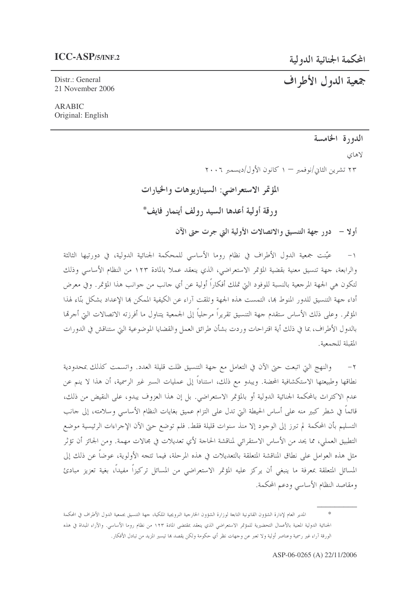Distr.: General 21 November 2006

# جمعية الدول الأطراف

### **ARABIC** Original: English

# الدورة الخامسة

لاهاي

۲۳ تشرین الثانی/نوفمبر — ۱ کانون الأول/دیسمبر ۲۰۰۶

المؤتمر الاستعراضي: السيناريوهات والخيارات ورقة أولية أعدها السيد رولف أينمار فايف\*

أولًا – دور جهة التنسيق والاتصالات الأولية التي جرت حتى الآن

عيّنت جمعية الدول الأطراف في نظام روما الأساسي للمحكمة الجنائية الدولية، في دورتيها الثالثة  $-1$ والرابعة، جهة تنسيق معنية بقضية المؤتمر الاستعراضي، الذي ينعقد عملاً بالمادة ١٢٣ من النظام الأساسي وذلك لتكون هي الجهة المرجعية بالنسبة للوفود التي تملك أفكاراً أولية عن أي جانب من جوانب هذا المؤتمر. وفي معرض أداء جهة التنسيق للدور المنوط بما، التمست هذه الجهة وتلقت آراء عن الكيفية الممكن بما الإعداد بشكل بنّاء لهذا المؤتمر. وعلى ذلك الأساس ستقدم حهة التنسيق تقريراً مرحلياً إلى الجمعية يتناول ما أفرزته الاتصالات البيّ أجرمًا بالدول الأطراف، بما في ذلك أية اقتراحات وردت بشأن طرائق العمل والقضايا الموضوعية التي ستناقش في الدورات المقبلة للجمعية.

والنهج التي اتبعت حيّ الآن في التعامل مع جهة التنسيق ظلت قليلة العدد. واتسمت كذلك بمحدودية نطاقها وطبيعتها الاستكشافية المحضة. ويبدو مع ذلك، استناداً إلى عمليات السبر غير الرسمية، أن هذا لا ينم عن عدم الاكتراث بالمحكمة الجنائية الدولية أو بالمؤتمر الاستعراضي. بل إن هذا العزوف يبدو، على النقيض من ذلك، قائماً في شطر كبير منه على أساس الحيطة التي تدل على التزام عميق بغايات النظام الأساسي وسلامته، إلى حانب التسليم بأن المحكمة لم تبرز إلى الوحود إلا منذ سنوات قليلة فقط. فلم توضع حتى الآن الإحراءات الرئيسية موضع التطبيق العملي، مما يحد من الأساس الاستقرائي لمناقشة الحاحة لأي تعديلات في مجالات مهمة. ومن الجائز أن تؤثر مثل هذه العوامل على نطاق المناقشة المتعلقة بالتعديلات في هذه المرحلة، فيما تتجه الأولوية، عوضاً عن ذلك إلى المسائل المتعلقة بمعرفة ما ينبغي أن يركز عليه المؤتمر الاستعراضي من المسائل تركيزاً مفيداً، بغية تعزيز مبادئ ومقاصد النظام الأساسي ودعم المحكمة.

المدير العام لإدارة الشؤون القانونية التابعة لوزارة الشؤون الخارجية النرويجية الملكية، جهة التنسيق بجمعية الدول الأطراف في المحكمة الجنائية الدولية المعنية بالأعمال التحضيرية للمؤتمر الاستعراضي الذي ينعقد بمقتضى المادة ١٢٣ من نظام روما الأساسى. والآراء المبداة في هذه الورقة آراء غير رسمية وعناصر أولية ولا تعبر عن وجهات نظر أي حكومة ولكن يقصد بما تيسير المزيد من تبادل الأفكار.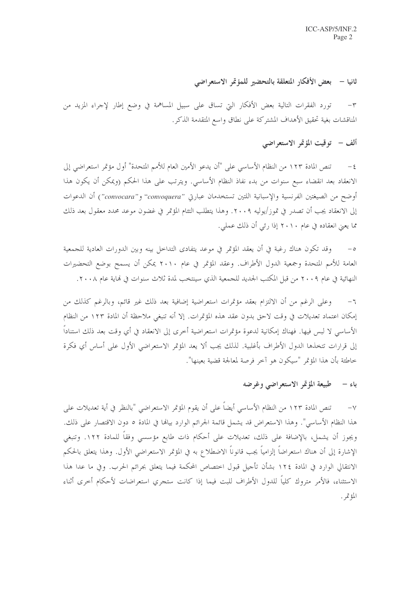## ثانيا – بعض الأفكار المتعلقة بالتحضير للمؤتمر الاستعراضي

تورد الفقرات التالية بعض الأفكار التي تساق على سبيل المساهمة في وضع إطار لإجراء المزيد من  $-\tau$ المناقشات بغية تحقيق الأهداف المشتركة على نطاق واسع المتقدمة الذكر.

# ألف – توقيت المؤتمر الاستعراضي

تنص المادة ١٢٣ من النظام الأساسي على "أن يدعو الأمين العام للأمم المتحدة" أول مؤتمر استعراضي إلى  $-\xi$ الانعقاد بعد انقضاء سبع سنوات من بدء نفاذ النظام الأساسي. ويترتب على هذا الحكم (ويمكن أن يكون هذا أوضح من الصيغتين الفرنسية والإسبانية اللتين تستخدمان عبارتي "convoquera" و"convocara") أن الدعوات إلى الانعقاد يجب أن تصدر في تموز/يوليه ٢٠٠٩. وهذا يتطلب التئام المؤتمر في غضون موعد محدد معقول بعد ذلك مما يعني انعقاده في عام ٢٠١٠ إذا رئي أن ذلك عملي.

وقد تكون هناك رغبة في أن يعقد المؤتمر في موعد يتفادى التداخل بينه وبين الدورات العادية للجمعية  $-\circ$ العامة للأمم المتحدة وجمعية الدول الأطراف. وعقد المؤتمر في عام ٢٠١٠ يمكن أن يسمح بوضع التحضيرات النهائية في عام ٢٠٠٩ من قبل المكتب الجديد للجمعية الذي سينتخب لمدة ثلاث سنوات في نماية عام ٢٠٠٨.

٦– وعلى الرغم من أن الالتزام بعقد مؤتمرات استعراضية إضافية بعد ذلك غير قائم، وبالرغم كذلك من إمكان اعتماد تعديلات في وقت لاحق بدون عقد هذه المؤتمرات. إلا أنه تنبغي ملاحظة أن المادة ١٢٣ من النظام الأساسي لا لبس فيها. فهناك إمكانية لدعوة مؤتمرات استعراضية أخرى إلى الانعقاد في أي وقت بعد ذلك استناداً إلى قرارات تتخذها الدول الأطراف بأغلبية. لذلك يجب ألا يعد المؤتمر الاستعراضي الأول على أساس أي فكرة خاطئة بأن هذا المؤتمر "سيكون هو آخر فرصة لمعالجة قضية بعينها".

### باء – طبيعة المؤتمر الاستعراضي وغرضه

تنص المادة ١٢٣ من النظام الأساسي أيضاً على أن يقوم المؤتمر الاستعراضي "بالنظر في أية تعديلات على  $-\gamma$ هذا النظام الأساسي". وهذا الاستعراض قد يشمل قائمة الجرائم الوارد بيالها في المادة ٥ دون الاقتصار على ذلك. ويجوز أن يشمل، بالإضافة على ذلك، تعديلات على أحكام ذات طابع مؤسسي وفقاً للمادة ١٢٢. وتنبغي الإشارة إلى أن هناك استعراضاً إلزامياً يجب قانوناً الاضطلاع به في المؤتمر الاستعراضي الأول. وهذا يتعلق بالحكم الانتقالي الوارد في المادة ١٢٤ بشأن تأجيل قبول اختصاص المحكمة فيما يتعلق بجرائم الحرب. وفي ما عدا هذا الاستثناء، فالأمر متروك كلياً للدول الأطراف للبت فيما إذا كانت ستجري استعراضات لأحكام أحرى أثناء المؤتمر .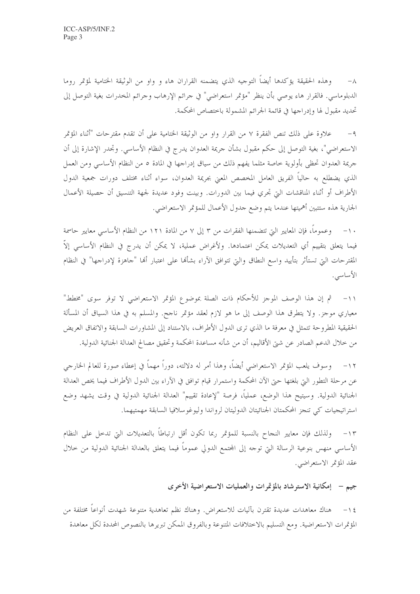وهذه الحقيقة يؤكدها أيضاً التوجيه الذي يتضمنه القراران هاء و واو من الوثيقة الختامية لمؤتمر روما  $-\lambda$ الدبلوماسي. فالقرار هاء يوصى بأن ينظر "مؤتمر استعراضي" في جرائم الإرهاب وجرائم المخدرات بغية التوصل إلى تحديد مقبول لها وإدراجها في قائمة الجرائم المشمولة باختصاص المحكمة.

علاوة على ذلك تنص الفقرة ٧ من القرار واو من الوثيقة الختامية على أن تقدم مقترحات "أثناء المؤتمر  $-9$ الاستعراضي"، بغية التوصل إلى حكم مقبول بشأن حريمة العدوان يدرج في النظام الأساسي. وتجدر الإشارة إلى أن جريمة العدوان تحظي بأولوية خاصة مثلما يفهم ذلك من سياق إدراجها في المادة ٥ من النظام الأساسي ومن العمل الذي يضطلع به حالياً الفريق العامل المخصص المعنى بجريمة العدوان، سواء أثناء مختلف دورات جمعية الدول الأطراف أو أثناء المناقشات التي تحري فيما بين الدورات. وبينت وفود عديدة لجهة التنسيق أن حصيلة الأعمال الجارية هذه ستتبين أهميتها عندما يتم وضع حدول الأعمال للمؤتمر الاستعراضي.

١٠– وعموماً، فإن المعايير التي تتضمنها الفقرات من ٣ إلى ٧ من المادة ١٢١ من النظام الأساسي معايير حاسمة فيما يتعلق بتقييم أي التعديلات يمكن اعتمادها. ولأغراض عملية، لا يمكن أن يدرج في النظام الأساسي إلاَّ المقترحات التي تستأثر بتأييد واسع النطاق والتي تتوافق الآراء بشألها على اعتبار ألها "جاهزة لإدراجها" في النظام الأساسى.

١١- ثم إن هذا الوصف الموجز للأحكام ذات الصلة بموضوع المؤتمر الاستعراضي لا توفر سوى "مخطط" معياري موجزٍ. ولا يتطرق هذا الوصف إلى ما هو لازم لعقد مؤتمر ناجح. والمسلم به في هذا السياق أن المسألة الحقيقية المطروحة تتمثل في معرفة ما الذي ترى الدول الأطراف، بالاستناد إلى المشاورات السابقة والاتفاق العريض من خلال الدعم الصادر عن شيّ الأقاليم، أن من شأنه مساعدة المحكمة وتحقيق مصالح العدالة الجنائية الدولية.

١٢– وسوف يلعب المؤتمر الاستعراضي أيضاً، وهذا أمر له دلالته، دوراً مهماً في إعطاء صورة للعالم الخارجي عن مرحلة التطور التي بلغتها حتى الآن المحكمة واستمرار قيام توافق في الآراء بين الدول الأطراف فيما يخص العدالة الجنائية الدولية. وسيتيح هذا الوضع، عملياً، فرصة "لإعادة تقييم" العدالة الجنائية الدولية في وقت يشهد وضع استراتيجيات كي تنجز المحكمتان الجنائيتان الدوليتان لرواندا وليوغوسلافيا السابقة مهمتيهما.

ولذلك فإن معايير النجاح بالنسبة للمؤتمر ربما تكون أقل ارتباطاً بالتعديلات التي تدحل على النظام  $-11$ الأساسي منهس بنوعية الرسالة التي توجه إلى المحتمع الدولي عموماً فيما يتعلق بالعدالة الجنائية الدولية من حلال عقد المؤتمر الاستعراضي.

جيم – إمكانية الاسترشاد بالمؤتمرات والعمليات الاستعراضية الأخرى

هناك معاهدات عديدة تقترن بآليات للاستعراض. وهناك نظم تعاهدية متنوعة شهدت أنواعاً مختلفة من  $-15$ المؤتمرات الاستعراضية. ومع التسليم بالاختلافات المتنوعة وبالفروق الممكن تبريرها بالنصوص المحددة لكل معاهدة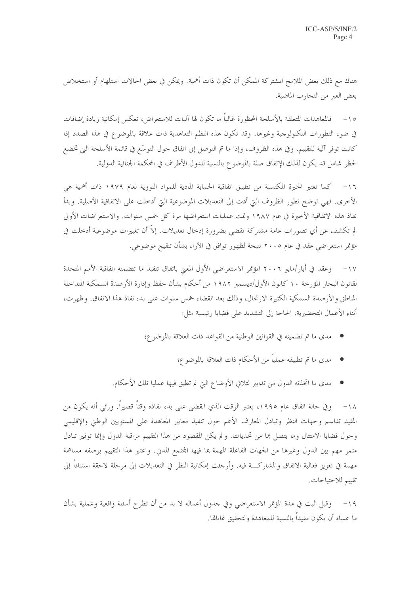هناك مع ذلك بعض الملامح المشتركة الممكن أن تكون ذات أهمية. ويمكن في بعض الحالات استلهام أو استخلاص بعض العبر من التجارب الماضية.

فالمعاهدات المتعلقة بالأسلحة المحظورة غالباً ما تكون لها آليات للاستعراض، تعكس إمكانية زيادة إضافات  $-10$ في ضوء التطورات التكنولوجية وغيرها. وقد تكون هذه النظم التعاهدية ذات علاقة بالموضوع في هذا الصدد إذا كانت توفر آلية للتقييم. وفي هذه الظروف، وإذا ما تم التوصل إلى اتفاق حول التوسُّع في قائمة الأسلحة التي تخضع لحظر شامل قد يكون لذلك الإتفاق صلة بالموضوع بالنسبة للدول الأطراف في المحكمة الجنائية الدولية.

١٦– كما تعتبر الخبرة المكتسبة من تطبيق اتفاقية الحماية المادية للمواد النووية لعام ١٩٧٩ ذات أهمية هي الأخرى. فهي توضح تطور الظروف التي أدت إلى التعديلات الموضوعية التي أدخلت على الاتفاقية الأصلية. وبدأ نفاذ هذه الاتفاقية الأخيرة في عام ١٩٨٧ وتمت عمليات استعراضها مرة كل خمس سنوات. والاستعراضات الأولى لم تكشف عن أي تصورات عامة مشتركة تقضي بضرورة إدخال تعديلات. إلاّ أن تغييرات موضوعية أدخلت في مؤتمر استعراضي عقد في عام ٢٠٠٥ نتيجة لظهور توافق في الآراء بشأن تنقيح موضوعي.

١٧ – وعقد في أيار /مايو ٢٠٠٦ المؤتمر الاستعراضي الأول المعيّ باتفاق تنفيذ ما تتضمنه اتفاقية الأمم المتحدة لقانون البحار المؤرخة ١٠ كانون الأول/ديسمبر ١٩٨٢ من أحكام بشأن حفظ وإدارة الأرصدة السمكية المتداخلة المناطق والأرصدة السمكية الكثيرة الارتحال، وذلك بعد انقضاء خمس سنوات على بدء نفاذ هذا الاتفاق. وظهرت، أثناء الأعمال التحضيرية، الحاجة إلى التشديد على قضايا رئيسية مثل:

- مدى ما تم تضمينه في القوانين الوطنية من القواعد ذات العلاقة بالموضوع؛
	- مدى ما تم تطبيقه عملياً من الأحكام ذات العلاقة بالموضوع؛
- مدى ما اتخذته الدول من تدابير لتلافي الأوضاع التي لم تطبق فيها عمليا تلك الأحكام.

١٨– وفي حالة اتفاق عام ١٩٩٥، يعتبر الوقت الذي انقضى على بدء نفاذه وقتاً قصيراً. ورئي أنه يكون من المفيد تقاسم وحهات النظر وتبادل المعارف الأعم حول تنفيذ معايير المعاهدة على المستويين الوطني والإقليمي وحول قضايا الامتثال وما يتصل ها من تحديات. ولم يكن المقصود من هذا التقييم مراقبة الدول وإنما توفير تبادل مثمر مهم بين الدول وغيرها من الجهات الفاعلة المهمة بما فيها المجتمع المدني. واعتبر هذا التقييم بوصفه مساهمة مهمة في تعزيز فعالية الاتفاق والمشاركـــة فيه. وأرحئت إمكانية النظر في التعديلات إلى مرحلة لاحقة استنادا إلى تقييم للاحتياجات.

١٩- وقبل البت في مدة المؤتمر الاستعراضي وفي جدول أعماله لا بد من أن تطرح أسئلة واقعية وعملية بشأن ما عساه أن يكون مفيداً بالنسبة للمعاهدة ولتحقيق غايالها.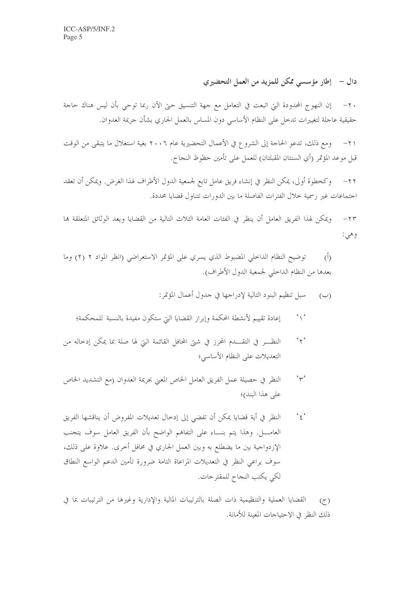دال – ﴿ إِطَارِ مؤسسى مُكَنِّ لِلْمِزِيدِ مِنِ الْعِمَلِ التَّحِضِيرِ ي

إن النهوج المحدودة التي اتبعت في التعامل مع جهة التنسيق حتى الآن ربما توحي بأن ليس هناك حاجة  $-\tau$ . حقيقية عاجلة لتغييرات تدخل على النظام الأساسي دون المساس بالعمل الجاري بشأن حريمة العدوان.

٢١ – ومع ذلك، تدعو الحاجة إلى الشروع في الأعمال التحضيرية عام ٢٠٠٦ بغية استغلال ما يتبقى من الوقت قبل موعد المؤتمر (أي السنتان المقبلتان) للعمل على تأمين حظوظ النجاح.

وكخطوة أولى، يمكن النظر في إنشاء فريق عامل تابع لجمعية الدول الأطراف لهذا الغرض. ويمكن أن تعقد  $-\tau$ احتماعات غير رسمية حلال الفترات الفاصلة ما بين الدورات تتناول قضايا محددة.

ويمكن لهذا الفريق العامل أن ينظر في الفئات العامة الثلاث التالية من القضايا ويعد الوثائق المتعلقة بما  $-\tau\tau$ وهي:

- توضيح النظام الداخلي المضبوط الذي يسري على المؤتمر الاستعراضي (انظر المواد ٢ (٢) وما  $\tilde{(\cdot)}$ بعدها من النظام الداخلي لجمعية الدول الأطراف).
	- سبل تنظيم البنود التالية لإدراجها في جدول أعمال المؤتمر :  $(\rightarrow)$
	- $\sim$ إعادة تقييم لأنشطة المحكمة وإبراز القضايا التي ستكون مفيدة بالنسبة للمحكمة؛
- $45$ النظـــر في التقــــدم المحرز في شتى المحافل القائمة التي لها صلة بما يمكن إدخاله من التعديلات على النظام الأساسي؛
- $44.6$ النظر في حصيلة عمل الفريق العامل الخاص المعنى بجريمة العدوان (مع التشديد الخاص على هذا البند)؛
- النظر في أية قضايا يمكن أن تفضي إلى إدخال تعديلات المفروض أن يناقشها الفريق  $\frac{1}{2}$ الإزدواجية بين ما يضطلع به وبين العمل الجاري في محافل أخرى. علاوة على ذلك، سوف يراعى النظر في التعديلات المراعاة التامة ضرورة تأمين الدعم الواسع النطاق لكي يكتب النجاح للمقترحات.

القضايا العملية والتنظيمية ذات الصلة بالترتيبات المالية والإدارية وغيرها من الترتيبات بما في  $(\tau)$ ذلك النظر في الاحتياجات المعينة للأمانة.